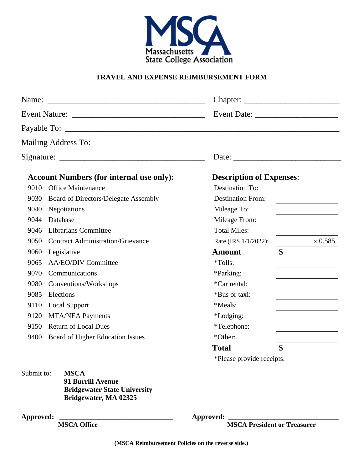

#### **TRAVEL AND EXPENSE REIMBURSEMENT FORM**

| <b>Account Numbers (for internal use only):</b> |                                             | <b>Description of Expenses:</b> |                                              |
|-------------------------------------------------|---------------------------------------------|---------------------------------|----------------------------------------------|
| 9010                                            | <b>Office Maintenance</b>                   | <b>Destination To:</b>          |                                              |
| 9030                                            | <b>Board of Directors/Delegate Assembly</b> | <b>Destination From:</b>        | <u> 1989 - Jan Barbarat, prima politik (</u> |
| 9040                                            | Negotiations                                | Mileage To:                     |                                              |
| 9044                                            | Database                                    | Mileage From:                   |                                              |
| 9046                                            | <b>Librarians Committee</b>                 | <b>Total Miles:</b>             |                                              |
| 9050                                            | <b>Contract Administration/Grievance</b>    | Rate (IRS 1/1/2022):            | x 0.585                                      |
| 9060                                            | Legislative                                 | <b>Amount</b>                   | \$                                           |
| 9065                                            | <b>AA/EO/DIV Committee</b>                  | *Tolls:                         |                                              |
| 9070                                            | Communications                              | *Parking:                       |                                              |
| 9080                                            | Conventions/Workshops                       | *Car rental:                    |                                              |
| 9085                                            | Elections                                   | *Bus or taxi:                   |                                              |
| 9110                                            | <b>Local Support</b>                        | *Meals:                         |                                              |
| 9120                                            | <b>MTA/NEA Payments</b>                     | <i>*Lodging:</i>                |                                              |
| 9150                                            | <b>Return of Local Dues</b>                 | *Telephone:                     |                                              |
| 9400                                            | Board of Higher Education Issues            | *Other:                         |                                              |
|                                                 |                                             | <b>Total</b>                    | \$                                           |
|                                                 |                                             | *Please provide receipts.       |                                              |

Submit to: **MSCA 91 Burrill Avenue Bridgewater State University Bridgewater, MA 02325**

**Approved: \_\_\_\_\_\_\_\_\_\_\_\_\_\_\_\_\_\_\_\_\_\_\_\_\_\_\_\_\_\_\_\_ Approved: \_\_\_\_\_\_\_\_\_\_\_\_\_\_\_\_\_\_\_\_\_\_\_\_\_\_\_\_\_\_\_**

**MSCA President or Treasurer**